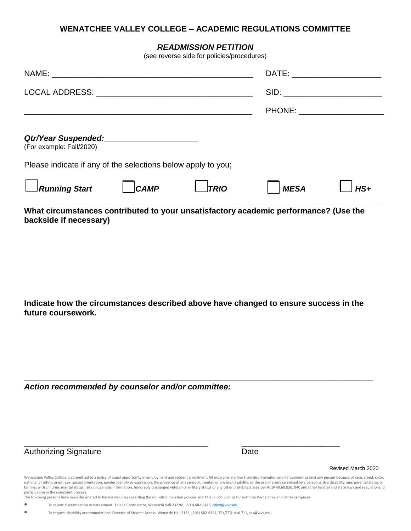## **WENATCHEE VALLEY COLLEGE – ACADEMIC REGULATIONS COMMITTEE**

## *READMISSION PETITION*

(see reverse side for policies/procedures)

| What circumstances contributed to your unsatisfactory academic performance? (Use the |      |             |                                                                                                                 |       |
|--------------------------------------------------------------------------------------|------|-------------|-----------------------------------------------------------------------------------------------------------------|-------|
| $\Box$ Running Start                                                                 | CAMP | $\Box$ TRIO | <b>MESA</b>                                                                                                     | $HS+$ |
| Please indicate if any of the selections below apply to you;                         |      |             |                                                                                                                 |       |
| (For example: Fall/2020)                                                             |      |             |                                                                                                                 |       |
|                                                                                      |      |             | <b>PHONE:</b>                                                                                                   |       |
|                                                                                      |      |             | SID: and the state of the state of the state of the state of the state of the state of the state of the state o |       |
|                                                                                      |      |             |                                                                                                                 |       |

**backside if necessary)**

**Indicate how the circumstances described above have changed to ensure success in the future coursework.** 

**\_\_\_\_\_\_\_\_\_\_\_\_\_\_\_\_\_\_\_\_\_\_\_\_\_\_\_\_\_\_\_\_\_\_\_\_\_\_\_\_\_\_\_\_\_\_\_\_\_\_\_\_\_\_\_\_\_\_\_\_\_\_\_\_\_\_\_\_\_\_\_\_\_\_\_\_\_\_**

*Action recommended by counselor and/or committee:*

Authorizing Signature Date

Revised March 2020

Wenatchee Valley College is committed to a policy of equal opportunity in employment and student enrollment. All programs are free from discrimination and harassment against any person because of race, creed, color, national or ethnic origin, sex, sexual orientation, gender identity or expression, the presence of any sensory, mental, or physical disability, or the use of a service animal by a person with a disability, age, parental st families with children, marital status, religion, genetic information, honorably discharged veteran or military status or any other prohibited basis per RCW 49.60.030, 040 and other federal and state laws and regulations, or participation in the complaint process.

The following persons have been designated to handle inquiries regarding the non-discrimination policies and Title IX compliance for both the Wenatchee and Omak campuses:

\_\_\_\_\_\_\_\_\_\_\_\_\_\_\_\_\_\_\_\_\_\_\_\_\_\_\_\_\_\_\_\_\_\_\_\_\_\_\_\_\_ \_\_\_\_\_\_\_\_\_\_\_\_\_\_\_\_\_\_\_\_\_\_

• To report discrimination or harassment: Title IX Coordinator, Wenatchi Hall 2322M, (509) 682-6445[, title9@wvc.edu.](mailto:title9@wvc.edu)

• To request disability accommodations: Director of Student Access, Wenatchi Hall 2133, (509) 682-6854, TTY/TTD: dial 711, sas@wvc.edu.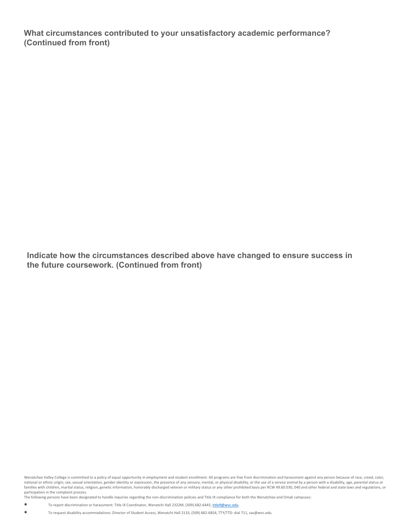**What circumstances contributed to your unsatisfactory academic performance? (Continued from front)** 

**Indicate how the circumstances described above have changed to ensure success in the future coursework. (Continued from front)**

Wenatchee Valley College is committed to a policy of equal opportunity in employment and student enrollment. All programs are free from discrimination and harassment against any person because of race, creed, color, national or ethnic origin, sex, sexual orientation, gender identity or expression, the presence of any sensory, mental, or physical disability, or the use of a service animal by a person with a disability, age, parental st families with children, marital status, religion, genetic information, honorably discharged veteran or military status or any other prohibited basis per RCW 49.60.030, 040 and other federal and state laws and regulations, or participation in the complaint process.

The following persons have been designated to handle inquiries regarding the non-discrimination policies and Title IX compliance for both the Wenatchee and Omak campuses:

• To report discrimination or harassment: Title IX Coordinator, Wenatchi Hall 2322M, (509) 682-6445, title9@wvc.edu.

• To request disability accommodations: Director of Student Access, Wenatchi Hall 2133, (509) 682-6854, TTY/TTD: dial 711, sas@wvc.edu.